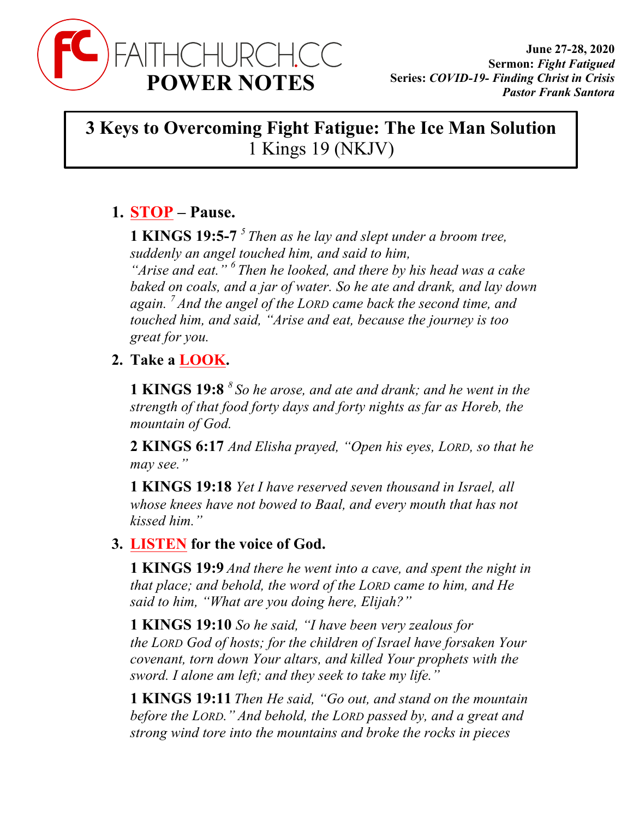

## **3 Keys to Overcoming Fight Fatigue: The Ice Man Solution** 1 Kings 19 (NKJV)

## **1. STOP – Pause.**

**1 KINGS 19:5-7** *<sup>5</sup> Then as he lay and slept under a broom tree, suddenly an angel touched him, and said to him, "Arise and eat." <sup>6</sup> Then he looked, and there by his head was a cake baked on coals, and a jar of water. So he ate and drank, and lay down again. <sup>7</sup> And the angel of the LORD came back the second time, and touched him, and said, "Arise and eat, because the journey is too great for you.*

## **2. Take a LOOK.**

**1 KINGS 19:8** *<sup>8</sup> So he arose, and ate and drank; and he went in the strength of that food forty days and forty nights as far as Horeb, the mountain of God.*

**2 KINGS 6:17** *And Elisha prayed, "Open his eyes, LORD, so that he may see."*

**1 KINGS 19:18** *Yet I have reserved seven thousand in Israel, all whose knees have not bowed to Baal, and every mouth that has not kissed him."*

## **3. LISTEN for the voice of God.**

**1 KINGS 19:9** *And there he went into a cave, and spent the night in that place; and behold, the word of the LORD came to him, and He said to him, "What are you doing here, Elijah?"*

**1 KINGS 19:10** *So he said, "I have been very zealous for the LORD God of hosts; for the children of Israel have forsaken Your covenant, torn down Your altars, and killed Your prophets with the sword. I alone am left; and they seek to take my life."*

**1 KINGS 19:11** *Then He said, "Go out, and stand on the mountain before the LORD." And behold, the LORD passed by, and a great and strong wind tore into the mountains and broke the rocks in pieces*